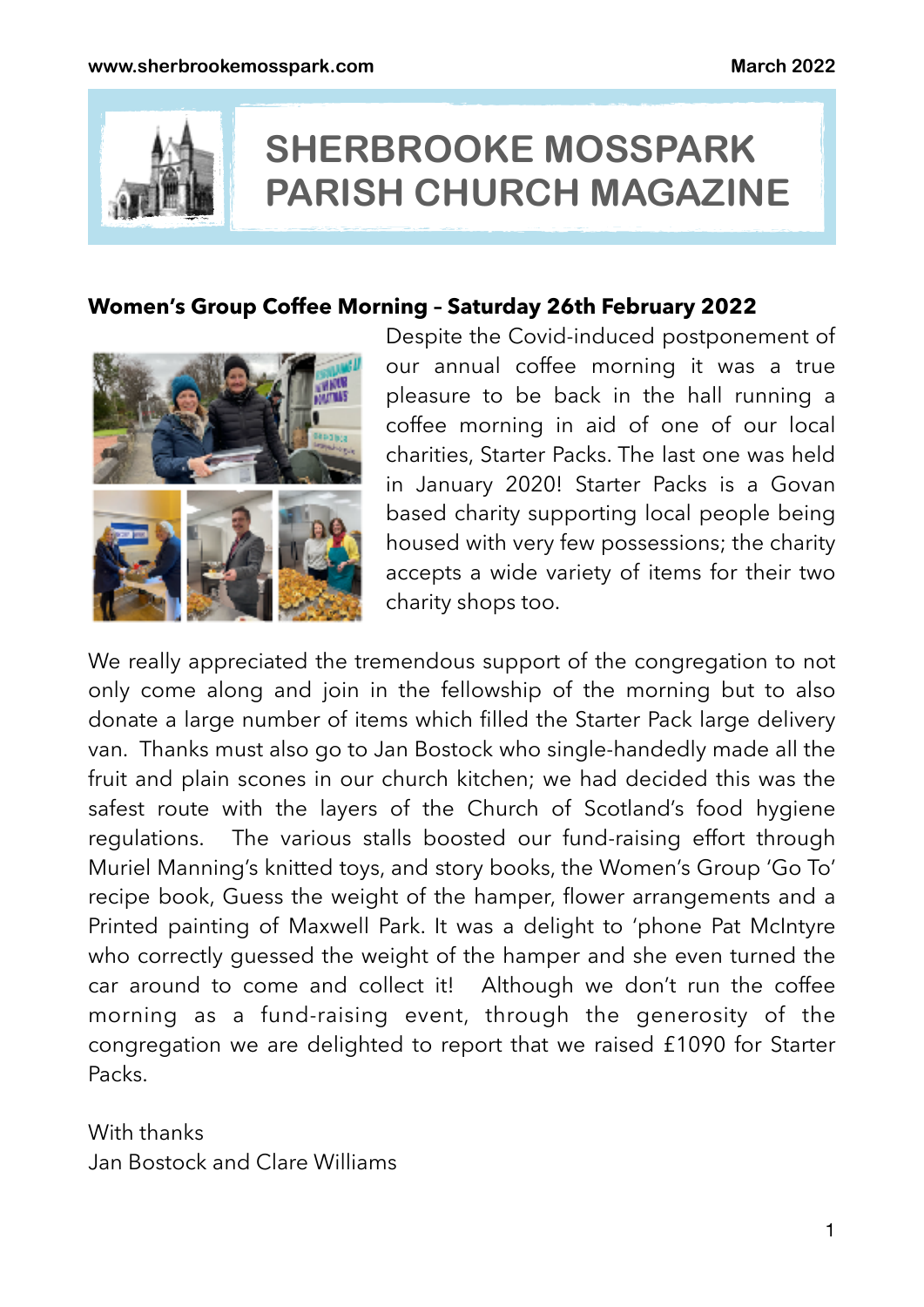

# **SHERBROOKE MOSSPARK PARISH CHURCH MAGAZINE**

# **Women's Group Coffee Morning – Saturday 26th February 2022**



Despite the Covid-induced postponement of our annual coffee morning it was a true pleasure to be back in the hall running a coffee morning in aid of one of our local charities, Starter Packs. The last one was held in January 2020! Starter Packs is a Govan based charity supporting local people being housed with very few possessions; the charity accepts a wide variety of items for their two charity shops too.

We really appreciated the tremendous support of the congregation to not only come along and join in the fellowship of the morning but to also donate a large number of items which filled the Starter Pack large delivery van. Thanks must also go to Jan Bostock who single-handedly made all the fruit and plain scones in our church kitchen; we had decided this was the safest route with the layers of the Church of Scotland's food hygiene regulations. The various stalls boosted our fund-raising effort through Muriel Manning's knitted toys, and story books, the Women's Group 'Go To' recipe book, Guess the weight of the hamper, flower arrangements and a Printed painting of Maxwell Park. It was a delight to 'phone Pat McIntyre who correctly guessed the weight of the hamper and she even turned the car around to come and collect it! Although we don't run the coffee morning as a fund-raising event, through the generosity of the congregation we are delighted to report that we raised £1090 for Starter Packs.

With thanks Jan Bostock and Clare Williams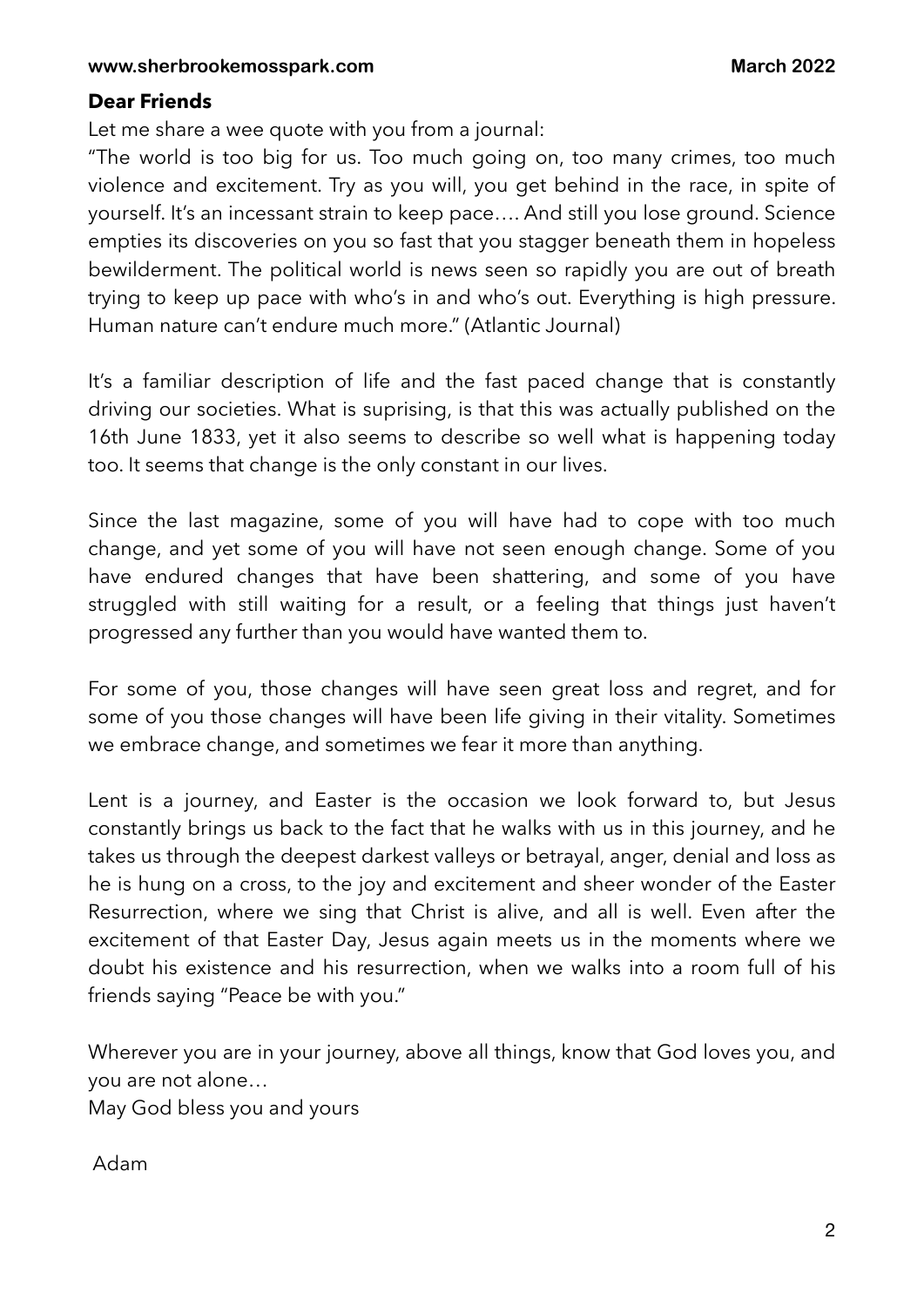## **Dear Friends**

Let me share a wee quote with you from a journal:

"The world is too big for us. Too much going on, too many crimes, too much violence and excitement. Try as you will, you get behind in the race, in spite of yourself. It's an incessant strain to keep pace…. And still you lose ground. Science empties its discoveries on you so fast that you stagger beneath them in hopeless bewilderment. The political world is news seen so rapidly you are out of breath trying to keep up pace with who's in and who's out. Everything is high pressure. Human nature can't endure much more." (Atlantic Journal)

It's a familiar description of life and the fast paced change that is constantly driving our societies. What is suprising, is that this was actually published on the 16th June 1833, yet it also seems to describe so well what is happening today too. It seems that change is the only constant in our lives.

Since the last magazine, some of you will have had to cope with too much change, and yet some of you will have not seen enough change. Some of you have endured changes that have been shattering, and some of you have struggled with still waiting for a result, or a feeling that things just haven't progressed any further than you would have wanted them to.

For some of you, those changes will have seen great loss and regret, and for some of you those changes will have been life giving in their vitality. Sometimes we embrace change, and sometimes we fear it more than anything.

Lent is a journey, and Easter is the occasion we look forward to, but Jesus constantly brings us back to the fact that he walks with us in this journey, and he takes us through the deepest darkest valleys or betrayal, anger, denial and loss as he is hung on a cross, to the joy and excitement and sheer wonder of the Easter Resurrection, where we sing that Christ is alive, and all is well. Even after the excitement of that Easter Day, Jesus again meets us in the moments where we doubt his existence and his resurrection, when we walks into a room full of his friends saying "Peace be with you."

Wherever you are in your journey, above all things, know that God loves you, and you are not alone… May God bless you and yours

Adam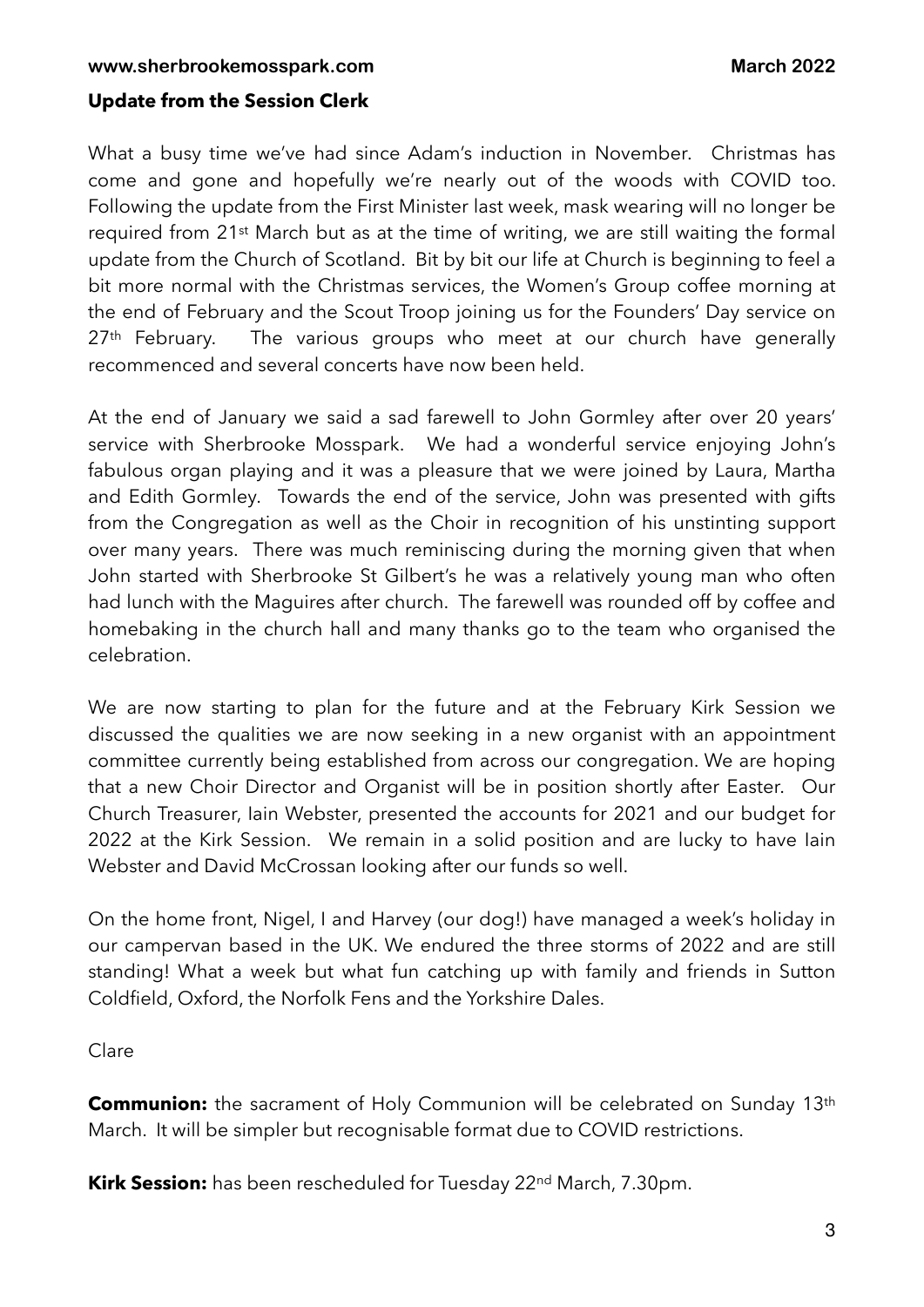#### **Update from the Session Clerk**

What a busy time we've had since Adam's induction in November. Christmas has come and gone and hopefully we're nearly out of the woods with COVID too. Following the update from the First Minister last week, mask wearing will no longer be required from 21st March but as at the time of writing, we are still waiting the formal update from the Church of Scotland. Bit by bit our life at Church is beginning to feel a bit more normal with the Christmas services, the Women's Group coffee morning at the end of February and the Scout Troop joining us for the Founders' Day service on 27<sup>th</sup> February. The various groups who meet at our church have generally recommenced and several concerts have now been held.

At the end of January we said a sad farewell to John Gormley after over 20 years' service with Sherbrooke Mosspark. We had a wonderful service enjoying John's fabulous organ playing and it was a pleasure that we were joined by Laura, Martha and Edith Gormley. Towards the end of the service, John was presented with gifts from the Congregation as well as the Choir in recognition of his unstinting support over many years. There was much reminiscing during the morning given that when John started with Sherbrooke St Gilbert's he was a relatively young man who often had lunch with the Maguires after church. The farewell was rounded off by coffee and homebaking in the church hall and many thanks go to the team who organised the celebration.

We are now starting to plan for the future and at the February Kirk Session we discussed the qualities we are now seeking in a new organist with an appointment committee currently being established from across our congregation. We are hoping that a new Choir Director and Organist will be in position shortly after Easter. Our Church Treasurer, Iain Webster, presented the accounts for 2021 and our budget for 2022 at the Kirk Session. We remain in a solid position and are lucky to have Iain Webster and David McCrossan looking after our funds so well.

On the home front, Nigel, I and Harvey (our dog!) have managed a week's holiday in our campervan based in the UK. We endured the three storms of 2022 and are still standing! What a week but what fun catching up with family and friends in Sutton Coldfield, Oxford, the Norfolk Fens and the Yorkshire Dales.

Clare

**Communion:** the sacrament of Holy Communion will be celebrated on Sunday 13<sup>th</sup> March. It will be simpler but recognisable format due to COVID restrictions.

Kirk Session: has been rescheduled for Tuesday 22<sup>nd</sup> March, 7.30pm.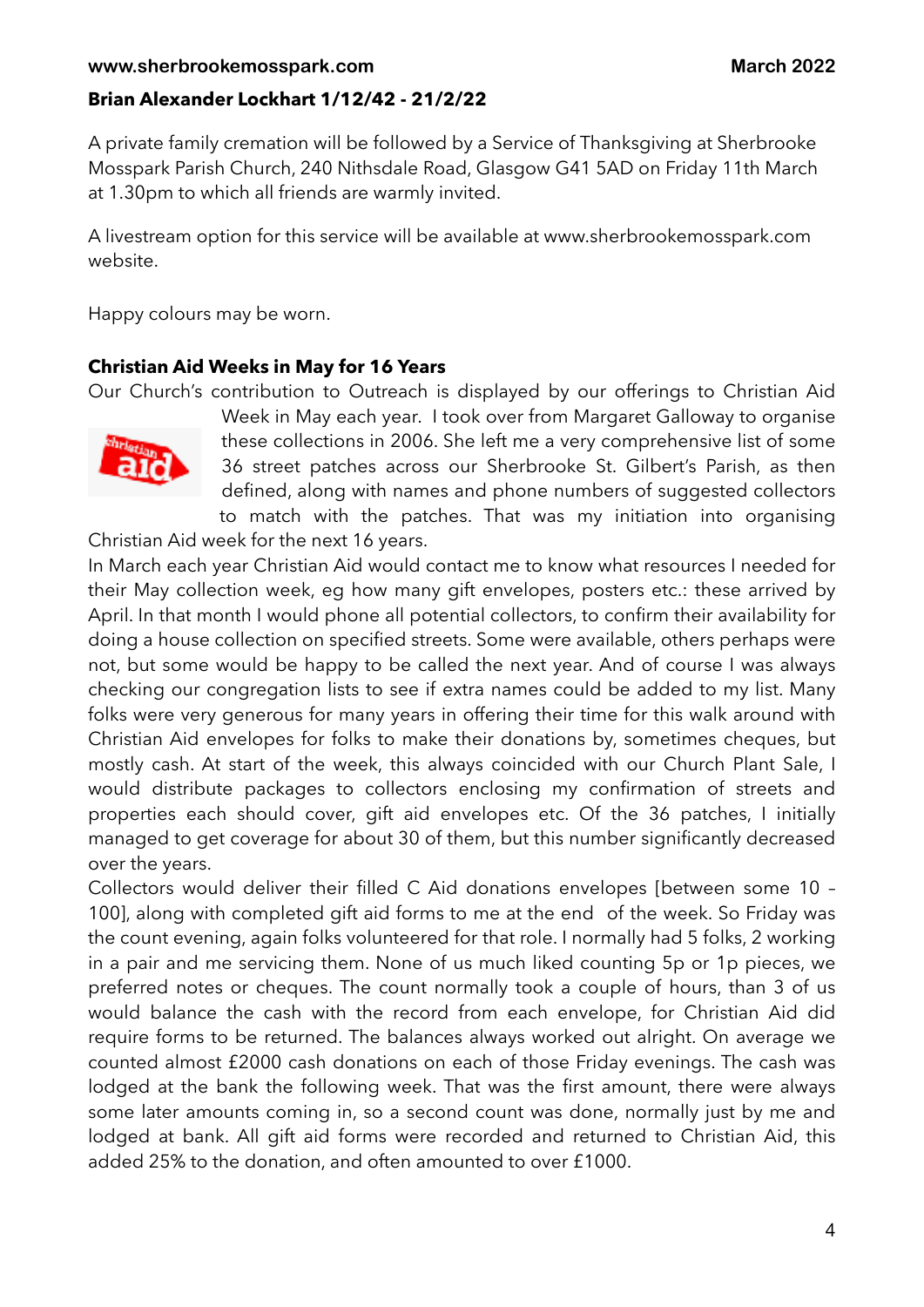#### **Brian Alexander Lockhart 1/12/42 - 21/2/22**

A private family cremation will be followed by a Service of Thanksgiving at Sherbrooke Mosspark Parish Church, 240 Nithsdale Road, Glasgow G41 5AD on Friday 11th March at 1.30pm to which all friends are warmly invited.

A livestream option for this service will be available at www.sherbrookemosspark.com website.

Happy colours may be worn.

#### **Christian Aid Weeks in May for 16 Years**

Our Church's contribution to Outreach is displayed by our offerings to Christian Aid



Week in May each year. I took over from Margaret Galloway to organise these collections in 2006. She left me a very comprehensive list of some 36 street patches across our Sherbrooke St. Gilbert's Parish, as then defined, along with names and phone numbers of suggested collectors to match with the patches. That was my initiation into organising

Christian Aid week for the next 16 years.

In March each year Christian Aid would contact me to know what resources I needed for their May collection week, eg how many gift envelopes, posters etc.: these arrived by April. In that month I would phone all potential collectors, to confirm their availability for doing a house collection on specified streets. Some were available, others perhaps were not, but some would be happy to be called the next year. And of course I was always checking our congregation lists to see if extra names could be added to my list. Many folks were very generous for many years in offering their time for this walk around with Christian Aid envelopes for folks to make their donations by, sometimes cheques, but mostly cash. At start of the week, this always coincided with our Church Plant Sale, I would distribute packages to collectors enclosing my confirmation of streets and properties each should cover, gift aid envelopes etc. Of the 36 patches, I initially managed to get coverage for about 30 of them, but this number significantly decreased over the years.

Collectors would deliver their filled C Aid donations envelopes [between some 10 – 100], along with completed gift aid forms to me at the end of the week. So Friday was the count evening, again folks volunteered for that role. I normally had 5 folks, 2 working in a pair and me servicing them. None of us much liked counting 5p or 1p pieces, we preferred notes or cheques. The count normally took a couple of hours, than 3 of us would balance the cash with the record from each envelope, for Christian Aid did require forms to be returned. The balances always worked out alright. On average we counted almost £2000 cash donations on each of those Friday evenings. The cash was lodged at the bank the following week. That was the first amount, there were always some later amounts coming in, so a second count was done, normally just by me and lodged at bank. All gift aid forms were recorded and returned to Christian Aid, this added 25% to the donation, and often amounted to over £1000.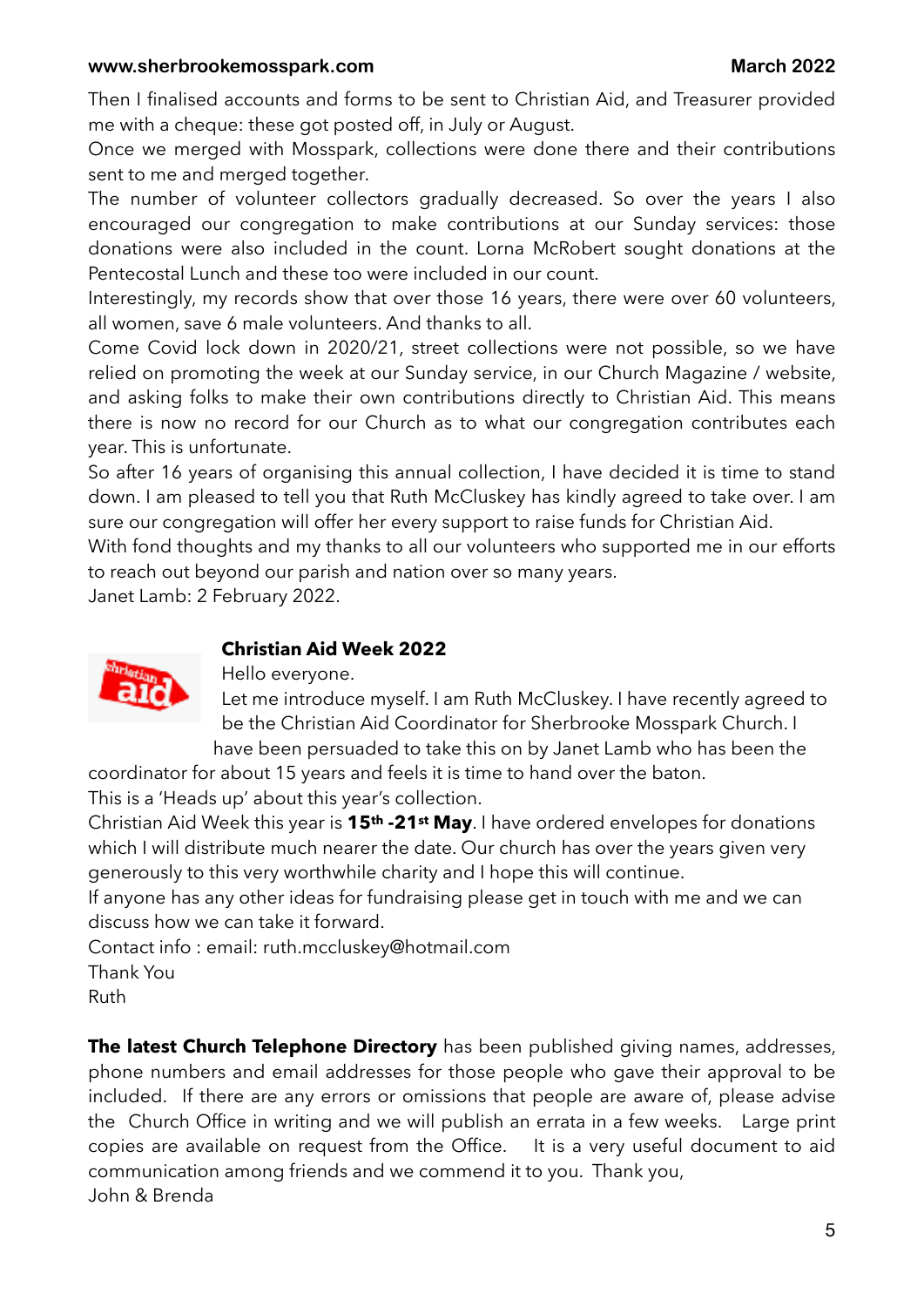Then I finalised accounts and forms to be sent to Christian Aid, and Treasurer provided me with a cheque: these got posted off, in July or August.

Once we merged with Mosspark, collections were done there and their contributions sent to me and merged together.

The number of volunteer collectors gradually decreased. So over the years I also encouraged our congregation to make contributions at our Sunday services: those donations were also included in the count. Lorna McRobert sought donations at the Pentecostal Lunch and these too were included in our count.

Interestingly, my records show that over those 16 years, there were over 60 volunteers, all women, save 6 male volunteers. And thanks to all.

Come Covid lock down in 2020/21, street collections were not possible, so we have relied on promoting the week at our Sunday service, in our Church Magazine / website, and asking folks to make their own contributions directly to Christian Aid. This means there is now no record for our Church as to what our congregation contributes each year. This is unfortunate.

So after 16 years of organising this annual collection, I have decided it is time to stand down. I am pleased to tell you that Ruth McCluskey has kindly agreed to take over. I am sure our congregation will offer her every support to raise funds for Christian Aid.

With fond thoughts and my thanks to all our volunteers who supported me in our efforts to reach out beyond our parish and nation over so many years.

Janet Lamb: 2 February 2022.



#### **Christian Aid Week 2022**

Hello everyone.

Let me introduce myself. I am Ruth McCluskey. I have recently agreed to be the Christian Aid Coordinator for Sherbrooke Mosspark Church. I have been persuaded to take this on by Janet Lamb who has been the

coordinator for about 15 years and feels it is time to hand over the baton.

This is a 'Heads up' about this year's collection.

Christian Aid Week this year is **15th -21st May**. I have ordered envelopes for donations which I will distribute much nearer the date. Our church has over the years given very generously to this very worthwhile charity and I hope this will continue.

If anyone has any other ideas for fundraising please get in touch with me and we can discuss how we can take it forward.

Contact info : email: [ruth.mccluskey@hotmail.com](mailto:ruth.mccluskey@hotmail.com)

Thank You

Ruth

**The latest Church Telephone Directory** has been published giving names, addresses, phone numbers and email addresses for those people who gave their approval to be included. If there are any errors or omissions that people are aware of, please advise the Church Office in writing and we will publish an errata in a few weeks. Large print copies are available on request from the Office. It is a very useful document to aid communication among friends and we commend it to you. Thank you, John & Brenda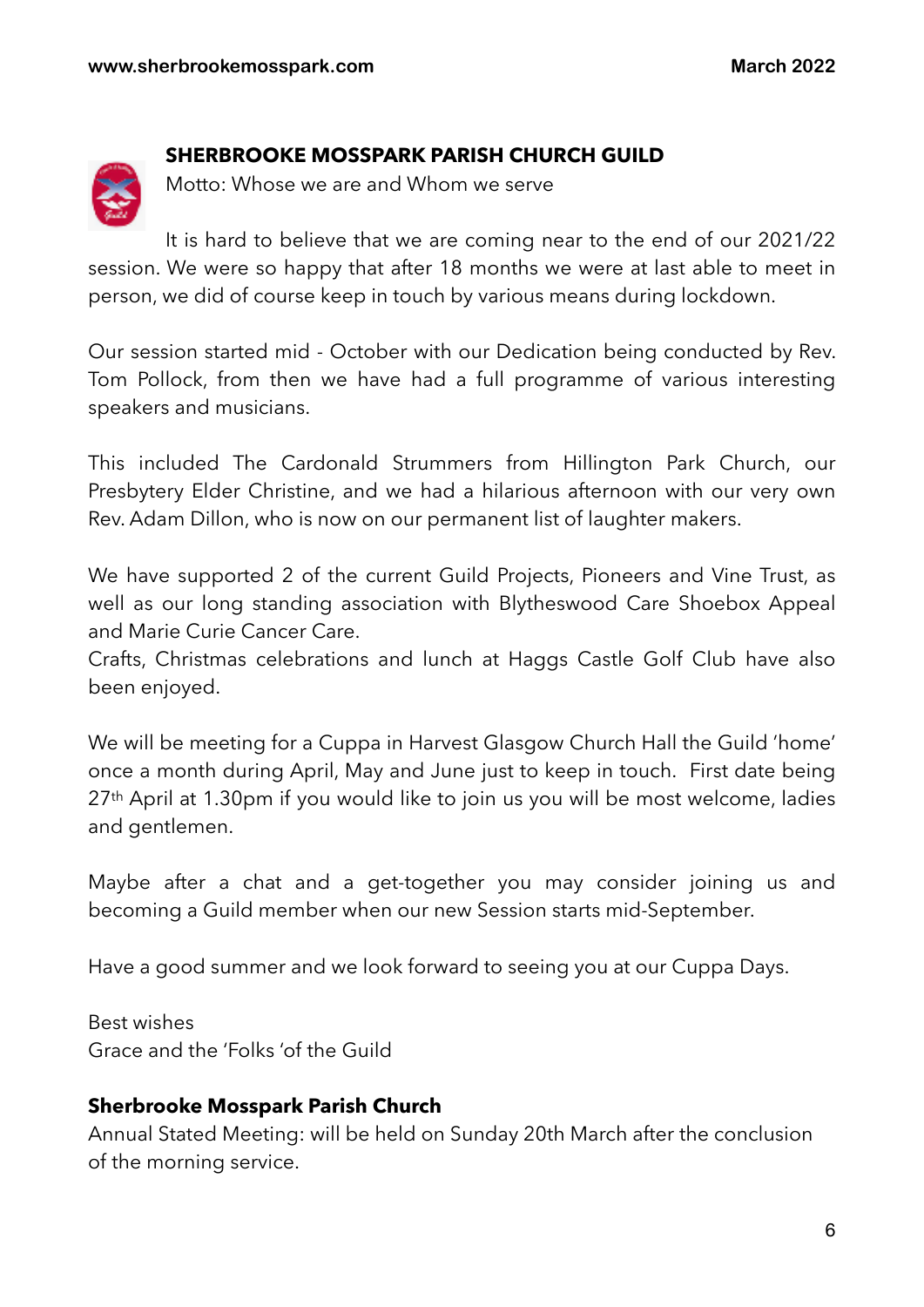# **SHERBROOKE MOSSPARK PARISH CHURCH GUILD**

Motto: Whose we are and Whom we serve

It is hard to believe that we are coming near to the end of our 2021/22 session. We were so happy that after 18 months we were at last able to meet in person, we did of course keep in touch by various means during lockdown.

Our session started mid - October with our Dedication being conducted by Rev. Tom Pollock, from then we have had a full programme of various interesting speakers and musicians.

This included The Cardonald Strummers from Hillington Park Church, our Presbytery Elder Christine, and we had a hilarious afternoon with our very own Rev. Adam Dillon, who is now on our permanent list of laughter makers.

We have supported 2 of the current Guild Projects, Pioneers and Vine Trust, as well as our long standing association with Blytheswood Care Shoebox Appeal and Marie Curie Cancer Care.

Crafts, Christmas celebrations and lunch at Haggs Castle Golf Club have also been enjoyed.

We will be meeting for a Cuppa in Harvest Glasgow Church Hall the Guild 'home' once a month during April, May and June just to keep in touch. First date being 27th April at 1.30pm if you would like to join us you will be most welcome, ladies and gentlemen.

Maybe after a chat and a get-together you may consider joining us and becoming a Guild member when our new Session starts mid-September.

Have a good summer and we look forward to seeing you at our Cuppa Days.

Best wishes Grace and the 'Folks 'of the Guild

# **Sherbrooke Mosspark Parish Church**

Annual Stated Meeting: will be held on Sunday 20th March after the conclusion of the morning service.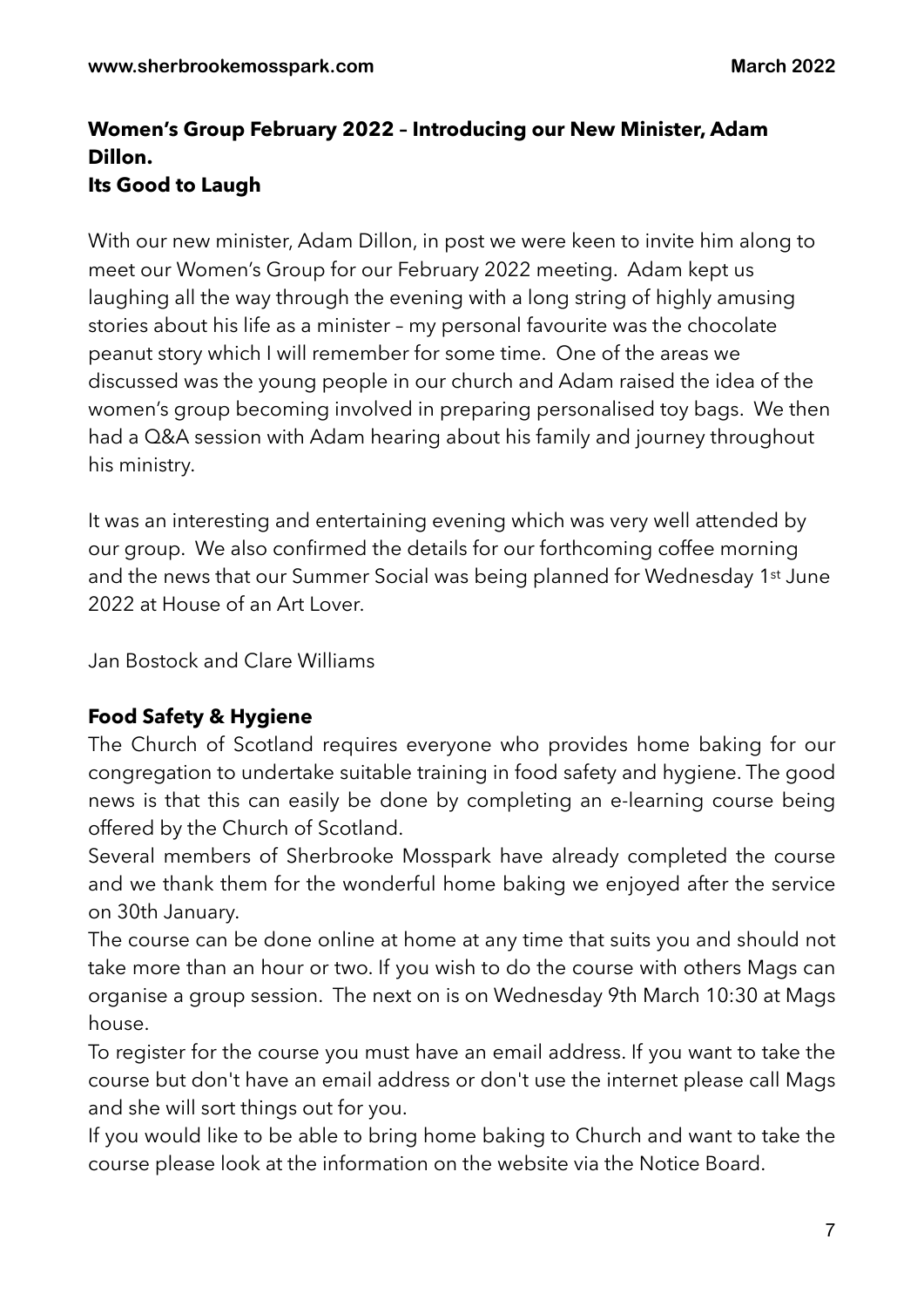# **Women's Group February 2022 – Introducing our New Minister, Adam Dillon. Its Good to Laugh**

With our new minister, Adam Dillon, in post we were keen to invite him along to meet our Women's Group for our February 2022 meeting. Adam kept us laughing all the way through the evening with a long string of highly amusing stories about his life as a minister – my personal favourite was the chocolate peanut story which I will remember for some time. One of the areas we discussed was the young people in our church and Adam raised the idea of the women's group becoming involved in preparing personalised toy bags. We then had a Q&A session with Adam hearing about his family and journey throughout his ministry.

It was an interesting and entertaining evening which was very well attended by our group. We also confirmed the details for our forthcoming coffee morning and the news that our Summer Social was being planned for Wednesday 1<sup>st</sup> June 2022 at House of an Art Lover.

Jan Bostock and Clare Williams

# **Food Safety & Hygiene**

The Church of Scotland requires everyone who provides home baking for our congregation to undertake suitable training in food safety and hygiene. The good news is that this can easily be done by completing an e-learning course being offered by the Church of Scotland.

Several members of Sherbrooke Mosspark have already completed the course and we thank them for the wonderful home baking we enjoyed after the service on 30th January.

The course can be done online at home at any time that suits you and should not take more than an hour or two. If you wish to do the course with others Mags can organise a group session. The next on is on Wednesday 9th March 10:30 at Mags house.

To register for the course you must have an email address. If you want to take the course but don't have an email address or don't use the internet please call Mags and she will sort things out for you.

If you would like to be able to bring home baking to Church and want to take the course please look at the information on the website via the Notice Board.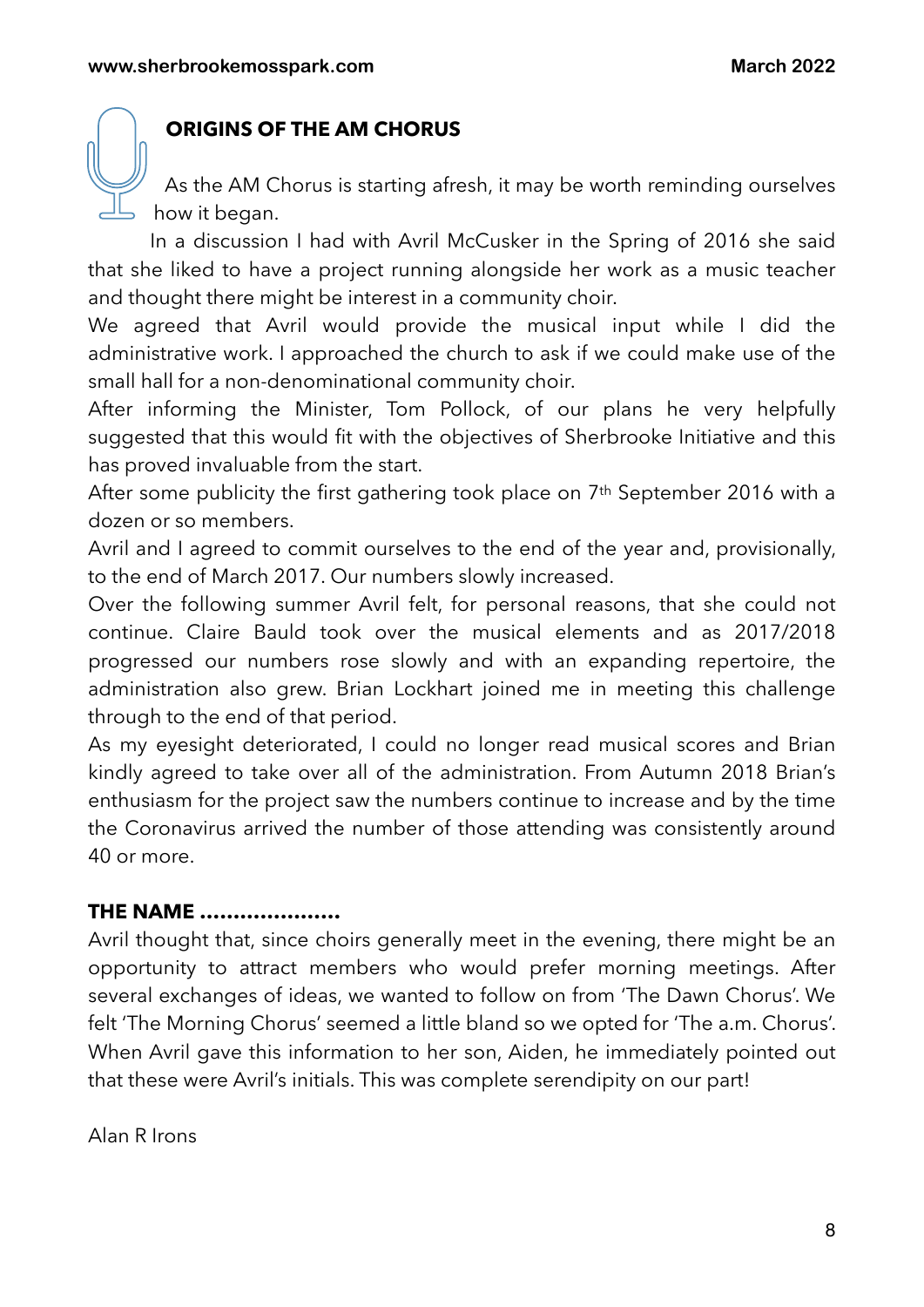# **ORIGINS OF THE AM CHORUS**

As the AM Chorus is starting afresh, it may be worth reminding ourselves how it began.

In a discussion I had with Avril McCusker in the Spring of 2016 she said that she liked to have a project running alongside her work as a music teacher and thought there might be interest in a community choir.

We agreed that Avril would provide the musical input while I did the administrative work. I approached the church to ask if we could make use of the small hall for a non-denominational community choir.

After informing the Minister, Tom Pollock, of our plans he very helpfully suggested that this would fit with the objectives of Sherbrooke Initiative and this has proved invaluable from the start.

After some publicity the first gathering took place on 7<sup>th</sup> September 2016 with a dozen or so members.

Avril and I agreed to commit ourselves to the end of the year and, provisionally, to the end of March 2017. Our numbers slowly increased.

Over the following summer Avril felt, for personal reasons, that she could not continue. Claire Bauld took over the musical elements and as 2017/2018 progressed our numbers rose slowly and with an expanding repertoire, the administration also grew. Brian Lockhart joined me in meeting this challenge through to the end of that period.

As my eyesight deteriorated, I could no longer read musical scores and Brian kindly agreed to take over all of the administration. From Autumn 2018 Brian's enthusiasm for the project saw the numbers continue to increase and by the time the Coronavirus arrived the number of those attending was consistently around 40 or more.

# **THE NAME …………………**

Avril thought that, since choirs generally meet in the evening, there might be an opportunity to attract members who would prefer morning meetings. After several exchanges of ideas, we wanted to follow on from 'The Dawn Chorus'. We felt 'The Morning Chorus' seemed a little bland so we opted for 'The a.m. Chorus'. When Avril gave this information to her son, Aiden, he immediately pointed out that these were Avril's initials. This was complete serendipity on our part!

Alan R Irons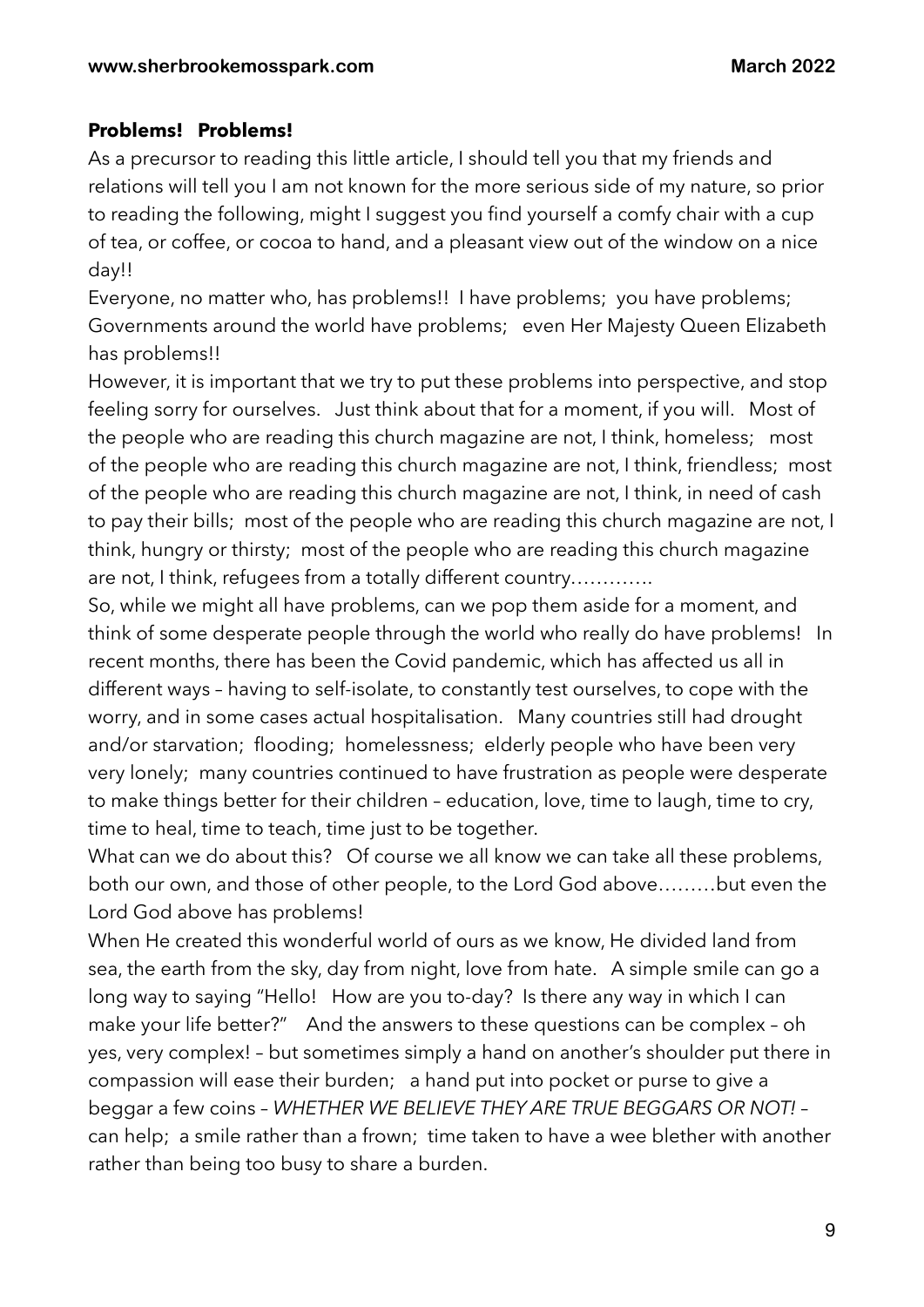### **Problems! Problems!**

As a precursor to reading this little article, I should tell you that my friends and relations will tell you I am not known for the more serious side of my nature, so prior to reading the following, might I suggest you find yourself a comfy chair with a cup of tea, or coffee, or cocoa to hand, and a pleasant view out of the window on a nice day!!

Everyone, no matter who, has problems!! I have problems; you have problems; Governments around the world have problems; even Her Majesty Queen Elizabeth has problems!!

However, it is important that we try to put these problems into perspective, and stop feeling sorry for ourselves. Just think about that for a moment, if you will. Most of the people who are reading this church magazine are not, I think, homeless; most of the people who are reading this church magazine are not, I think, friendless; most of the people who are reading this church magazine are not, I think, in need of cash to pay their bills; most of the people who are reading this church magazine are not, I think, hungry or thirsty; most of the people who are reading this church magazine are not, I think, refugees from a totally different country………….

So, while we might all have problems, can we pop them aside for a moment, and think of some desperate people through the world who really do have problems! In recent months, there has been the Covid pandemic, which has affected us all in different ways – having to self-isolate, to constantly test ourselves, to cope with the worry, and in some cases actual hospitalisation. Many countries still had drought and/or starvation; flooding; homelessness; elderly people who have been very very lonely; many countries continued to have frustration as people were desperate to make things better for their children – education, love, time to laugh, time to cry, time to heal, time to teach, time just to be together.

What can we do about this? Of course we all know we can take all these problems, both our own, and those of other people, to the Lord God above………but even the Lord God above has problems!

When He created this wonderful world of ours as we know, He divided land from sea, the earth from the sky, day from night, love from hate. A simple smile can go a long way to saying "Hello! How are you to-day? Is there any way in which I can make your life better?" And the answers to these questions can be complex – oh yes, very complex! – but sometimes simply a hand on another's shoulder put there in compassion will ease their burden; a hand put into pocket or purse to give a beggar a few coins – *WHETHER WE BELIEVE THEY ARE TRUE BEGGARS OR NOT!* – can help; a smile rather than a frown; time taken to have a wee blether with another rather than being too busy to share a burden.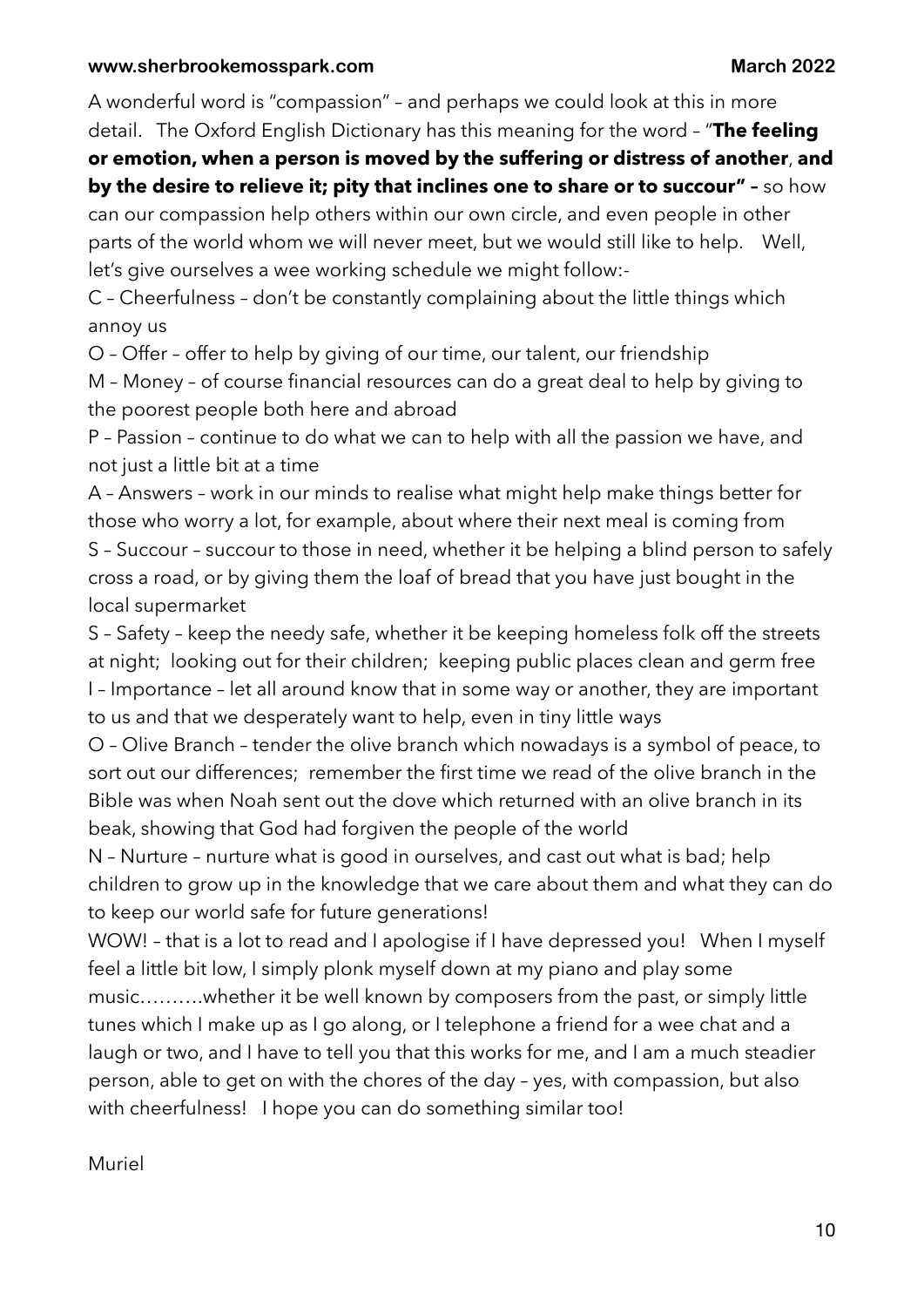A wonderful word is "compassion" – and perhaps we could look at this in more detail. The Oxford English Dictionary has this meaning for the word – "**The feeling** 

## **or emotion, when a person is moved by the suffering or distress of another**, **and by the desire to relieve it; pity that inclines one to share or to succour" –** so how

can our compassion help others within our own circle, and even people in other parts of the world whom we will never meet, but we would still like to help. Well, let's give ourselves a wee working schedule we might follow:-

C – Cheerfulness – don't be constantly complaining about the little things which annoy us

O – Offer – offer to help by giving of our time, our talent, our friendship

M – Money – of course financial resources can do a great deal to help by giving to the poorest people both here and abroad

P – Passion – continue to do what we can to help with all the passion we have, and not just a little bit at a time

A – Answers – work in our minds to realise what might help make things better for those who worry a lot, for example, about where their next meal is coming from S – Succour – succour to those in need, whether it be helping a blind person to safely cross a road, or by giving them the loaf of bread that you have just bought in the local supermarket

S – Safety – keep the needy safe, whether it be keeping homeless folk off the streets at night; looking out for their children; keeping public places clean and germ free I – Importance – let all around know that in some way or another, they are important to us and that we desperately want to help, even in tiny little ways

O – Olive Branch – tender the olive branch which nowadays is a symbol of peace, to sort out our differences; remember the first time we read of the olive branch in the Bible was when Noah sent out the dove which returned with an olive branch in its beak, showing that God had forgiven the people of the world

N – Nurture – nurture what is good in ourselves, and cast out what is bad; help children to grow up in the knowledge that we care about them and what they can do to keep our world safe for future generations!

WOW! – that is a lot to read and I apologise if I have depressed you! When I myself feel a little bit low, I simply plonk myself down at my piano and play some music……….whether it be well known by composers from the past, or simply little tunes which I make up as I go along, or I telephone a friend for a wee chat and a laugh or two, and I have to tell you that this works for me, and I am a much steadier person, able to get on with the chores of the day – yes, with compassion, but also with cheerfulness! I hope you can do something similar too!

Muriel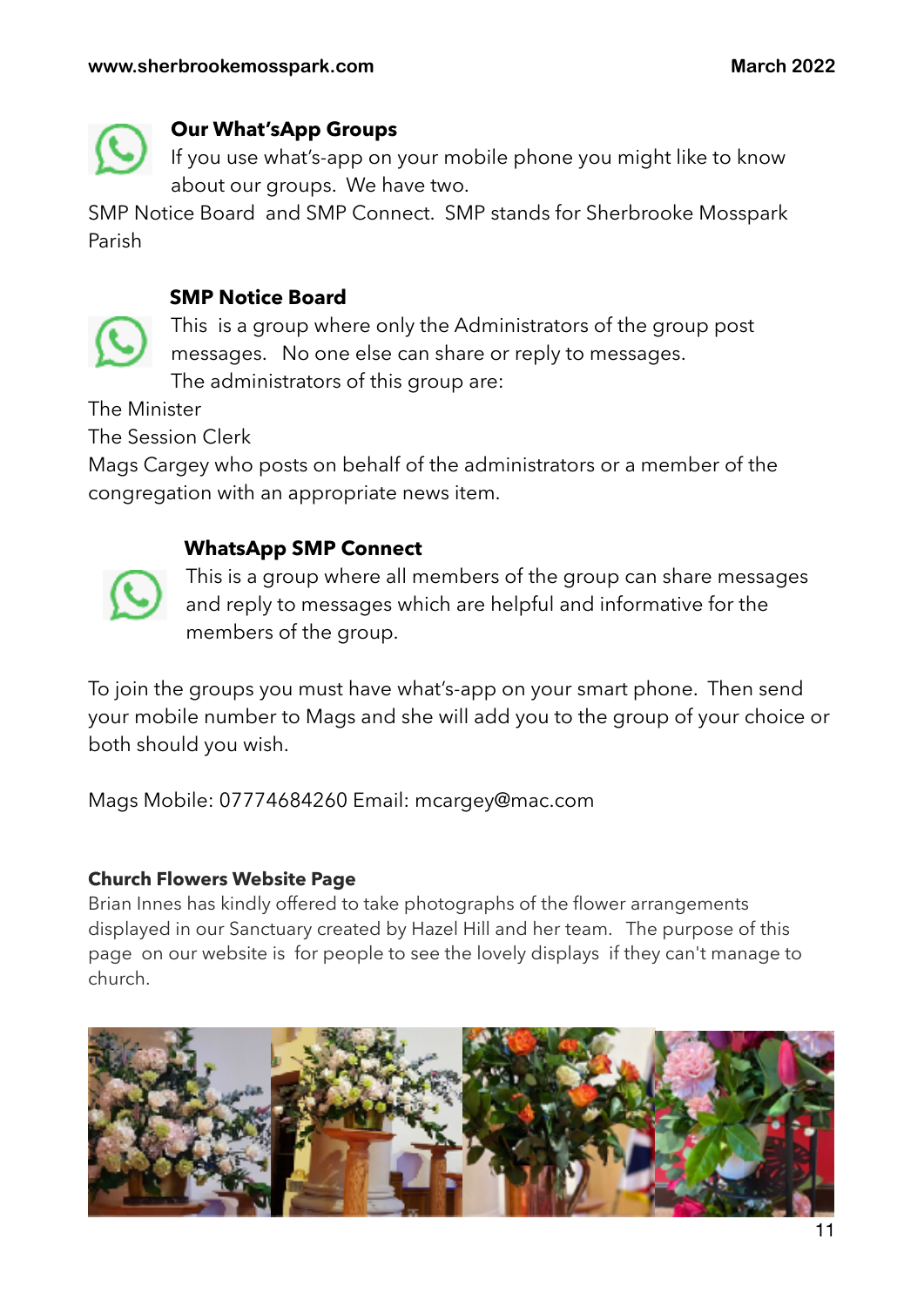

## **Our What'sApp Groups**

If you use what's-app on your mobile phone you might like to know about our groups. We have two.

SMP Notice Board and SMP Connect. SMP stands for Sherbrooke Mosspark Parish

## **SMP Notice Board**



This is a group where only the Administrators of the group post messages. No one else can share or reply to messages.

The administrators of this group are:

The Minister

The Session Clerk

Mags Cargey who posts on behalf of the administrators or a member of the congregation with an appropriate news item.

# **WhatsApp SMP Connect**



This is a group where all members of the group can share messages and reply to messages which are helpful and informative for the members of the group.

To join the groups you must have what's-app on your smart phone. Then send your mobile number to Mags and she will add you to the group of your choice or both should you wish.

Mags Mobile: 07774684260 Email: [mcargey@mac.com](mailto:mcargey@mac.com)

### **Church Flowers Website Page**

Brian Innes has kindly offered to take photographs of the flower arrangements displayed in our Sanctuary created by Hazel Hill and her team. The purpose of this page on our website is for people to see the lovely displays if they can't manage to church.